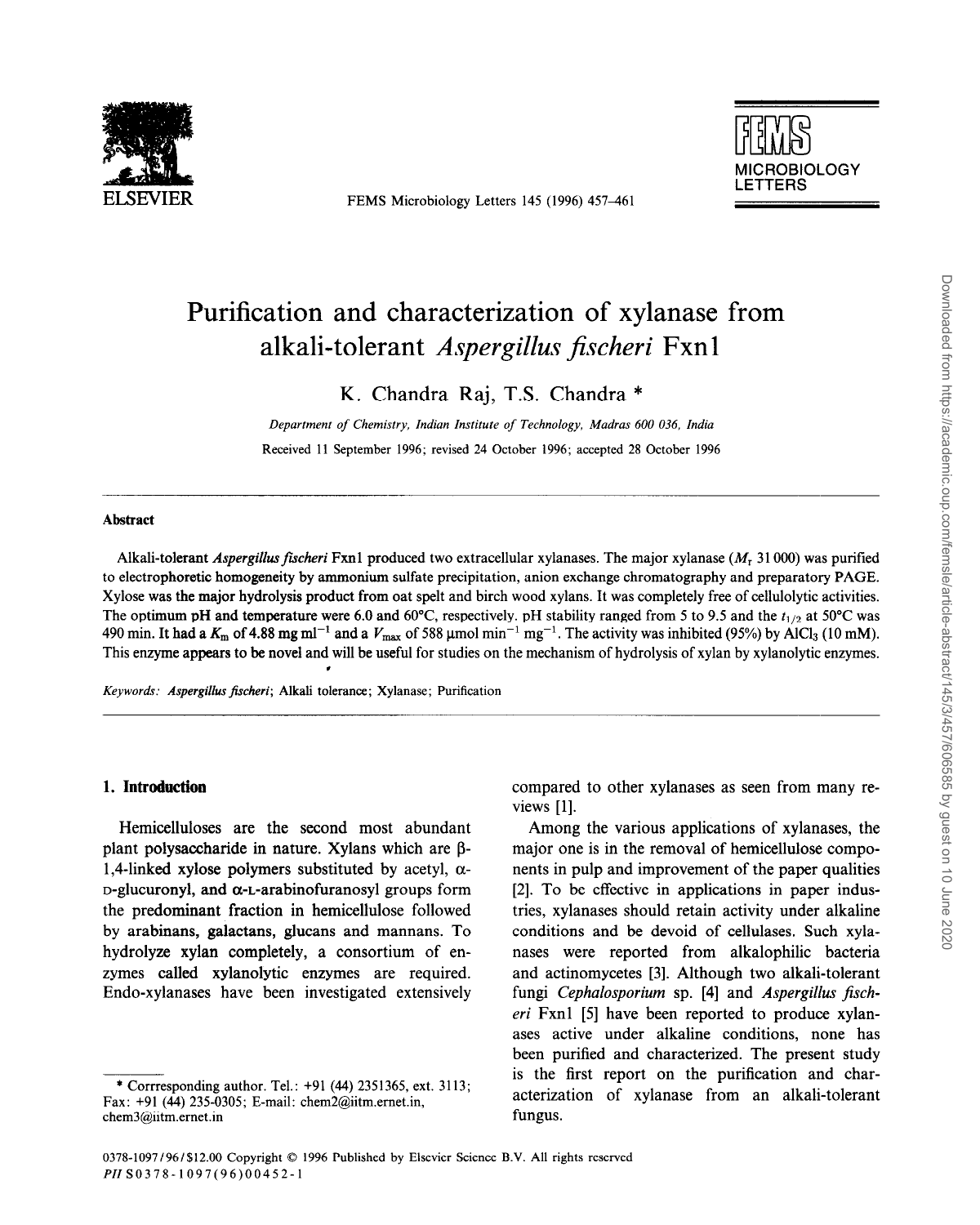

FEMS Microbiology Letters 145 (1996) 457-461



# Purification and characterization of xylanase from alkali-tolerant *Aspergillus fischeri* Fxn 1

K. Chandra Raj, T.S. Chandra \*

*Department of Chemistry, Indian Institute of Technology, Madras 600 036. India*  Received 11 September 1996; revised 24 October 1996; accepted 28 October 1996

# Abstract

Alkali-tolerant *Aspergillus fischeri* Fxn1 produced two extracellular xylanases. The major xylanase (M<sub>T</sub> 31000) was purified to electrophoretic homogeneity by ammonium sulfate precipitation, anion exchange chromatography and preparatory PAGE. Xylose was the major hydrolysis product from oat spelt and birch wood xylans. It was completely free of cellulolytic activities. The optimum pH and temperature were 6.0 and 60°C, respectively. pH stability ranged from 5 to 9.5 and the  $t_{1/2}$  at 50°C was 490 min. It had a  $K_m$  of 4.88 mg ml<sup>-1</sup> and a  $V_{\text{max}}$  of 588 µmol min<sup>-1</sup> mg<sup>-1</sup>. The activity was inhibited (95%) by AlCl<sub>3</sub> (10 mM). This enzyme appears to be novel and will be useful for studies on the mechanism of hydrolysis of xylan by xylanolytic enzymes. ,

*Keywords: Aspergillus fischeri;* Alkali tolerance; Xylanase; Purification

# **1. Introduction**

Hemicelluloses are the second most abundant plant polysaccharide in nature. Xylans which are  $\beta$ -1,4-linked xylose polymers substituted by acetyl,  $\alpha$ - $D$ -glucuronyl, and  $\alpha$ -L-arabinofuranosyl groups form the predominant fraction in hemicellulose followed by arabinans, galactans, glucans and mannans. To hydrolyze xylan completely, a consortium of enzymes called xylanolytic enzymes are required. Endo-xylanases have been investigated extensively

compared to other xylanases as seen from many reviews [l].

Among the various applications of xylanases, the major one is in the removal of hemicellulose components in pulp and improvement of the paper qualities [2]. To be effective in applications in paper industries, xylanases should retain activity under alkaline conditions and be devoid of cellulases. Such xylanases were reported from alkalophilic bacteria and actinomycetes [3]. Although two alkali-tolerant fungi *Cephalosporium* sp. **[4]** and *Aspergillus jischeri* Fxnl [5] have been reported to produce xylanases active under alkaline conditions, none has been purified and characterized. The present study is the first report on the purification and characterization of xylanase from an alkali-tolerant fungus.

<sup>\*</sup> Corrresponding author. Tel.: +91 (44) 2351365, ext. 3113; Fax: +91 (44) 235-0305; E-mail: chem2@iitm.ernet.in, chem3@iitm.ernet.in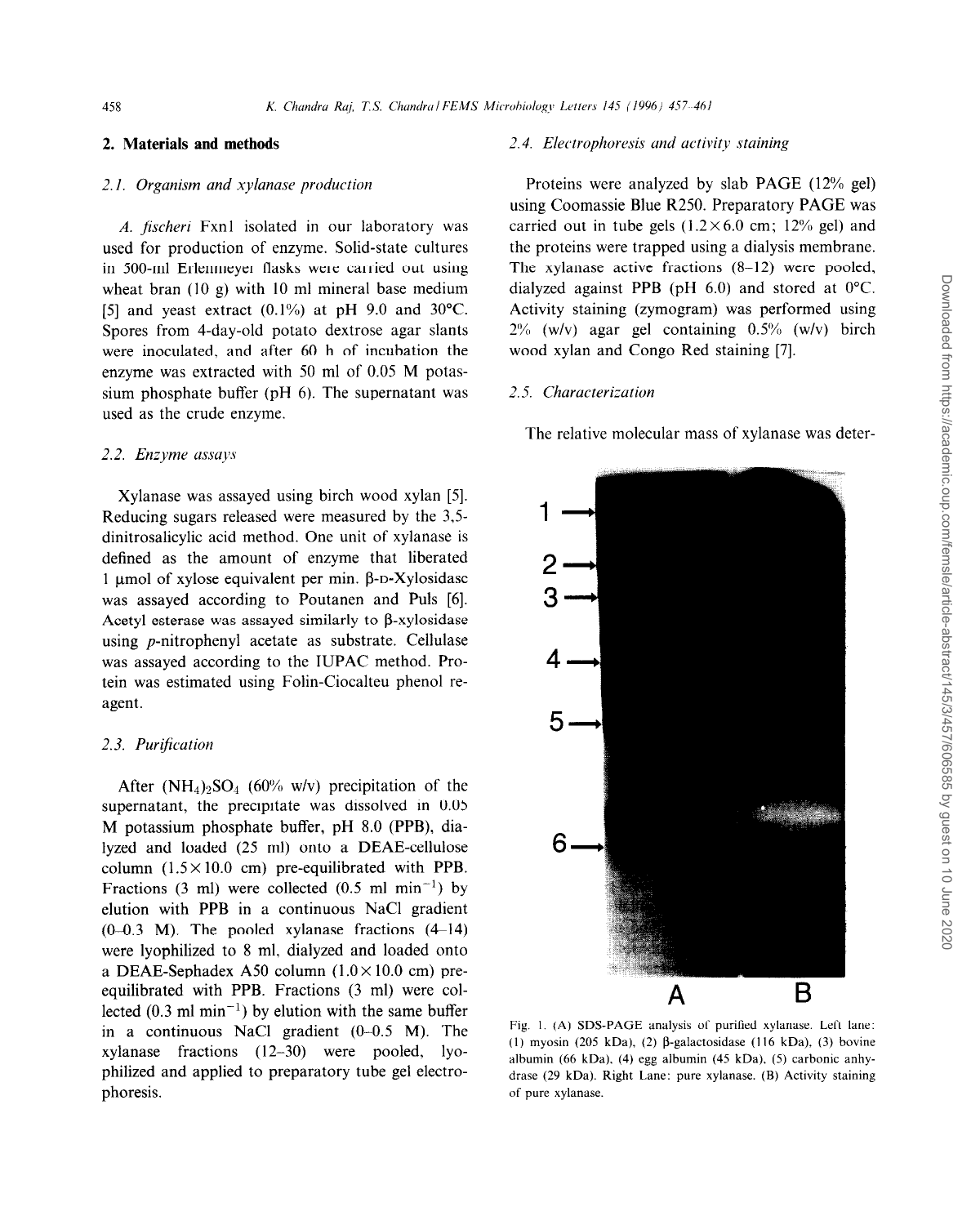# **2.1.** *Organism and xylunase production*

*A. jischeri* Fxnl isolated in our laboratory was used for production of enzyme. Solid-state cultures in 500-ml Erlenmeyer flasks were carried out using wheat bran (10 g) with 10 ml mineral base medium [5] and yeast extract  $(0.1\%)$  at pH 9.0 and 30°C. Spores from 4-day-old potato dextrose agar slants were inoculated, and after 60 h of incubation the enzyme was extracted with 50 ml of 0.05 M potassium phosphate buffer (pH 6). The supernatant was used as the crude enzyme.

# 2.2. *Enzyme assays*

Xylanase was assayed using birch wood xylan [5]. Reducing sugars released were measured by the 3,5 dinitrosalicylic acid method. One unit of xylanase is defined as the amount of enzyme that liberated 1  $\mu$ mol of xylose equivalent per min.  $\beta$ -D-Xylosidase was assayed according to Poutanen and Puls [6]. Acetyl esterase was assayed similarly to B-xylosidase using p-nitrophenyl acetate as substrate. Cellulase was assayed according to the IUPAC method. Protein was estimated using Folin-Ciocalteu phenol reagent.

# 2.3. Purification

After  $(NH_4)_2SO_4$  (60% w/v) precipitation of the supernatant, the precipitate was dissolved in 0.05 M potassium phosphate buffer, pH 8.0 (PPB), dialyzed and loaded (25 ml) onto a DEAE-cellulose column  $(1.5 \times 10.0 \text{ cm})$  pre-equilibrated with PPB. Fractions (3 ml) were collected (0.5 ml min<sup>-1</sup>) by elution with PPB in a continuous NaCl gradient  $(0-0.3$  M). The pooled xylanase fractions  $(4-14)$ were lyophilized to 8 ml, dialyzed and loaded onto a DEAE-Sephadex A50 column  $(1.0 \times 10.0 \text{ cm})$  preequilibrated with PPB. Fractions (3 ml) were collected  $(0.3 \text{ ml } \text{min}^{-1})$  by elution with the same buffer in a continuous NaCl gradient  $(0-0.5 \text{ M})$ . The xylanase fractions (12-30) were pooled, lyophilized and applied to preparatory tube gel electrophoresis.

#### **2. Materials and methods** *2.4. Electrophoresis und uctivity staining*

Proteins were analyzed by slab PAGE (12% gel) using Coomassie Blue R250. Preparatory PAGE was carried out in tube gels  $(1.2 \times 6.0 \text{ cm}; 12\% \text{ gel})$  and the proteins were trapped using a dialysis membrane. The xylanase active fractions (8-12) were pooled, dialyzed against PPB (pH 6.0) and stored at 0°C. Activity staining (zymogram) was performed using 2% (w/v) agar gel containing 0.5% (w/v) birch wood xylan and Congo Red staining [7].

#### 2.5. *Churucterizution*

The relative molecular mass of xylanase was deter-



Fig. I. (A) SDS-PAGE analysis of purified xylanase. Left lane: (1) myosin (205 kDa), (2)  $\beta$ -galactosidase (116 kDa), (3) bovine albumin (66 kDa), (4) egg albumin (45 kDa), (5) carbonic anhydrase (29 kDa). Right Lane: pure xylanase. (B) Activity staining of pure xylanase.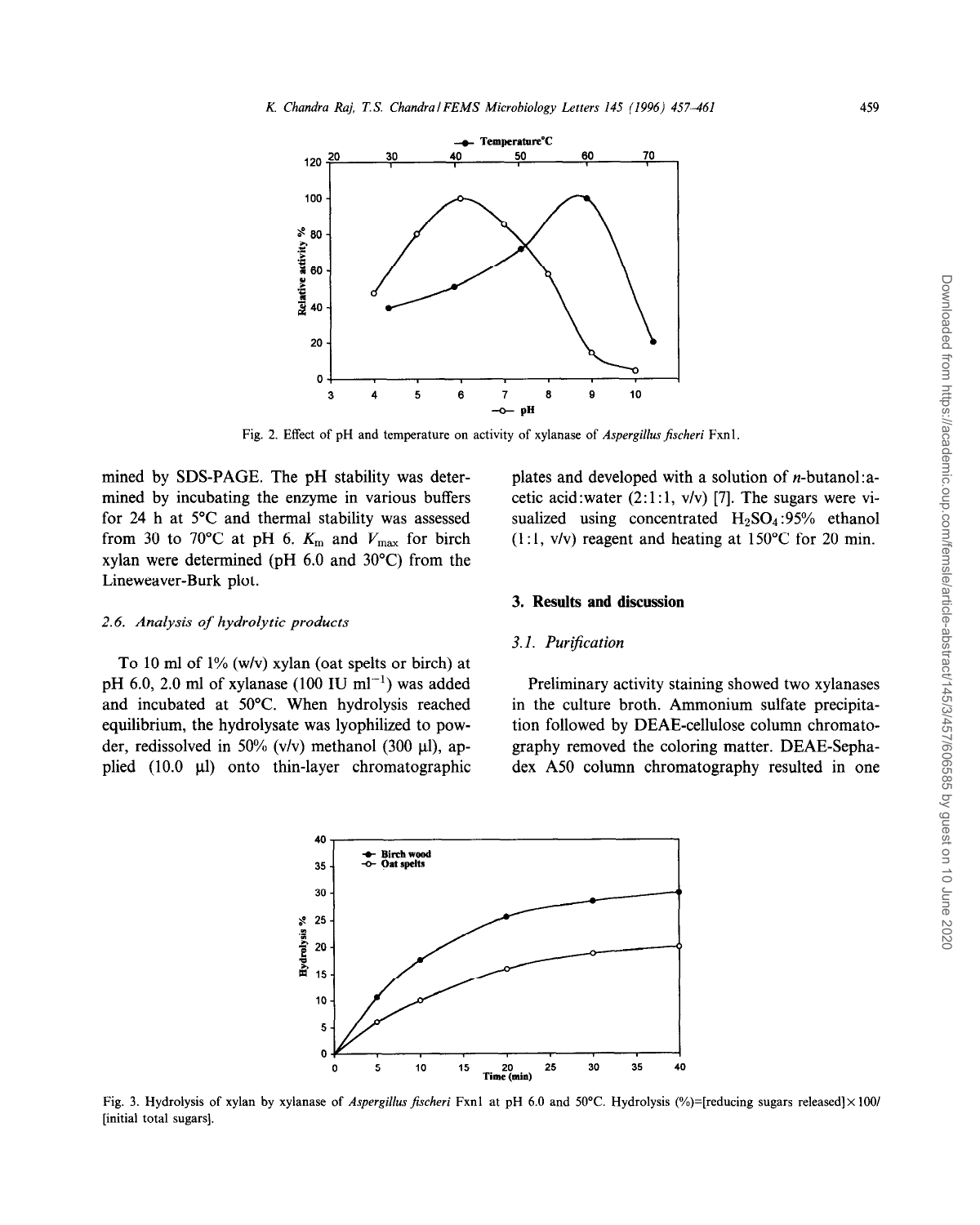

Fig. 2. Effect of pH and temperature on activity of xylanase of *Aspergillus fischeri* Fxn1.

mined by SDS-PAGE. The pH stability was determined by incubating the enzyme in various buffers for 24 h at 5°C and thermal stability was assessed from 30 to 70°C at pH 6.  $K_m$  and  $V_{\text{max}}$  for birch xylan were determined (pH 6.0 and 30°C) from the Lineweaver-Burk plot.

### 2.6. *Analysis of hydrolytic products*

To 10 ml of 1% (w/v) xylan (oat spelts or birch) at pH 6.0, 2.0 ml of xylanase (100 IU ml<sup>-1</sup>) was added and incubated at 50°C. When hydrolysis reached equilibrium, the hydrolysate was lyophilized to powder, redissolved in 50% (v/v) methanol (300  $\mu$ l), applied  $(10.0 \text{ }\mu\text{)}$  onto thin-layer chromatographic

plates and developed with a solution of n-butanol:acetic acid:water  $(2: 1: 1, v/v)$  [7]. The sugars were visualized using concentrated  $H_2SO_4:95\%$  ethanol  $(1:1, v/v)$  reagent and heating at 150°C for 20 min.

# *3.* **Results and discussion**

#### **3.1.** *Puri\$cation*

Preliminary activity staining showed two xylanases in the culture broth. Ammonium sulfate precipitation followed by DEAE-cellulose column chromatography removed the coloring matter. DEAE-Sephadex A50 column chromatography resulted in one



Fig. 3. Hydrolysis of xylan by xylanase of *Aspergilhu fischeri* Fxnl at pH 6.0 and 50°C. Hydrolysis (%)=[reducing sugars released] **X 1001**  [initial total sugars].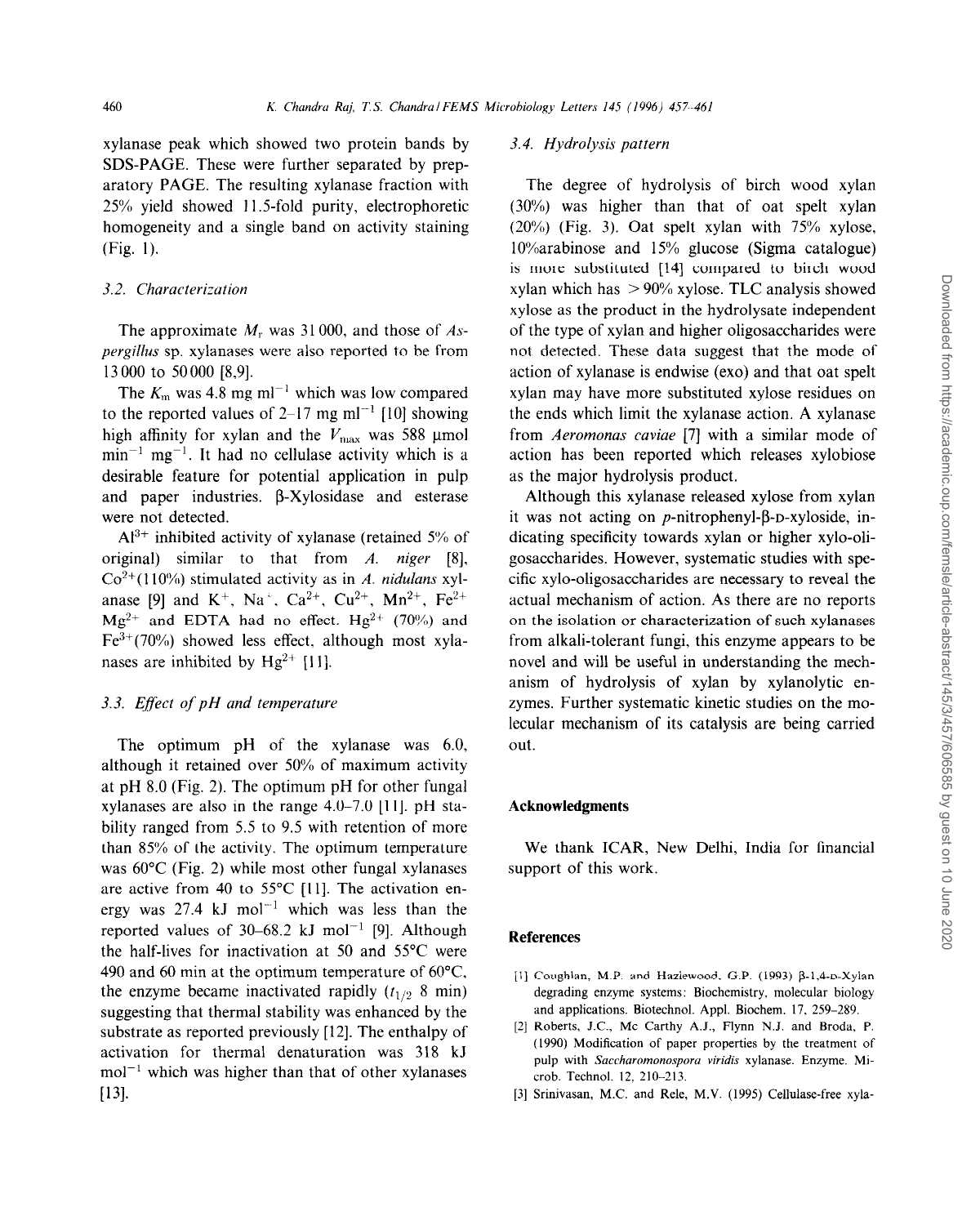xylanase peak which showed two protein bands by SDS-PAGE. These were further separated by preparatory PAGE. The resulting xylanase fraction with 25% yield showed 11.5-fold purity, electrophoretic homogeneity and a single band on activity staining (Fig. 1).

### 3.2. *Characterizution*

The approximate  $M_r$  was 31000, and those of  $As$ *pergillus* sp. xylanases were also reported to be from 13 000 to 50000 [8,9].

The  $K_m$  was 4.8 mg ml<sup>-1</sup> which was low compared to the reported values of 2–17 mg m $^{-1}$  [10] showing high affinity for xylan and the  $V_{\text{max}}$  was 588 µmol  $min^{-1}$  mg<sup>-1</sup>. It had no cellulase activity which is a desirable feature for potential application in pulp and paper industries.  $\beta$ -Xylosidase and esterase were not detected.

 $Al^{3+}$  inhibited activity of xylanase (retained 5% of original) similar to that from *A. niger [8]. Co'+(* 110%) stimulated activity as in *A. niduluns* xylanase [9] and  $K^+$ , Na<sup>+</sup>, Ca<sup>2+</sup>, Cu<sup>2+</sup>, Mn<sup>2+</sup>, Fe<sup>2+</sup>  $Mg^{2+}$  and EDTA had no effect. Hg<sup>2+</sup> (70%) and  $Fe^{3+}(70%)$  showed less effect, although most xylanases are inhibited by  $Hg^{2+}$  [11].

# 3.3. *Eflect of pH and temperuture*

The optimum pH of the xylanase was 6.0, although it retained over 50% of maximum activity at pH 8.0 (Fig. 2). The optimum pH for other fungal xylanases are also in the range  $4.0-7.0$  [11]. pH stability ranged from 5.5 to 9.5 with retention of more than 85% of the activity. The optimum temperature was 60°C (Fig. 2) while most other fungal xylanases are active from 40 to 55°C [11]. The activation energy was 27.4 kJ mol<sup>-1</sup> which was less than the reported values of 30–68.2 kJ mol<sup>-1</sup> [9]. Although the half-lives for inactivation at 50 and 55°C were 490 and 60 min at the optimum temperature of  $60^{\circ}$ C, the enzyme became inactivated rapidly  $(t_{1/2} 8 \text{ min})$ suggesting that thermal stability was enhanced by the substrate as reported previously [12]. The enthalpy of activation for thermal denaturation was 318 kJ  $mol^{-1}$  which was higher than that of other xylanases **[131.** 

# 3.4. *Hydrolysis pattern*

The degree of hydrolysis of birch wood xylan (30%) was higher than that of oat spelt xylan (20%) (Fig. 3). Oat spelt xylan with 75% xylose, lO%arabinose and 15% glucose (Sigma catalogue) is more substituted [14] compared to birch wood xylan which has  $> 90\%$  xylose. TLC analysis showed xylose as the product in the hydrolysate independent of the type of xylan and higher oligosaccharides were not detected. These data suggest that the mode of action of xylanase is endwise (exo) and that oat spelt xylan may have more substituted xylose residues on the ends which limit the xylanase action. A xylanase from *Aeromonas caviae* [7] with a similar mode of action has been reported which releases xylobiose as the major hydrolysis product.

Although this xylanase released xylose from xylan it was not acting on  $p$ -nitrophenyl- $\beta$ -D-xyloside, indicating specificity towards xylan or higher xylo-oligosaccharides. However, systematic studies with specific xylo-oligosaccharides are necessary to reveal the actual mechanism of action. As there are no reports on the isolation or characterization of such xylanases from alkali-tolerant fungi, this enzyme appears to be novel and will be useful in understanding the mechanism of hydrolysis of xylan by xylanolytic enzymes. Further systematic kinetic studies on the molecular mechanism of its catalysis are being carried out.

#### **Acknowledgments**

We thank ICAR, New Delhi, India for financial support of this work.

### **References**

- [1] Coughlan, M.P. and Hazlewood, G.P. (1993) β-1,4-p-Xylai degrading enzyme systems: Biochemistry, molecular biology and applications. Biotechnol. Appl. Biochem. 17, 259-289.
- 121 Roberts, J.C., MC Carthy A.J., Flynn N.J. and Broda, P. (1990) Modification of paper properties by the treatment of pulp with *Saccharomonosporo viridis* xylanase. Enzyme. Micrab. Technol. 12, 210-213.
- [31 Srinivasan, M.C. and Rele, M.V. (1995) Cellulase-free xyla-